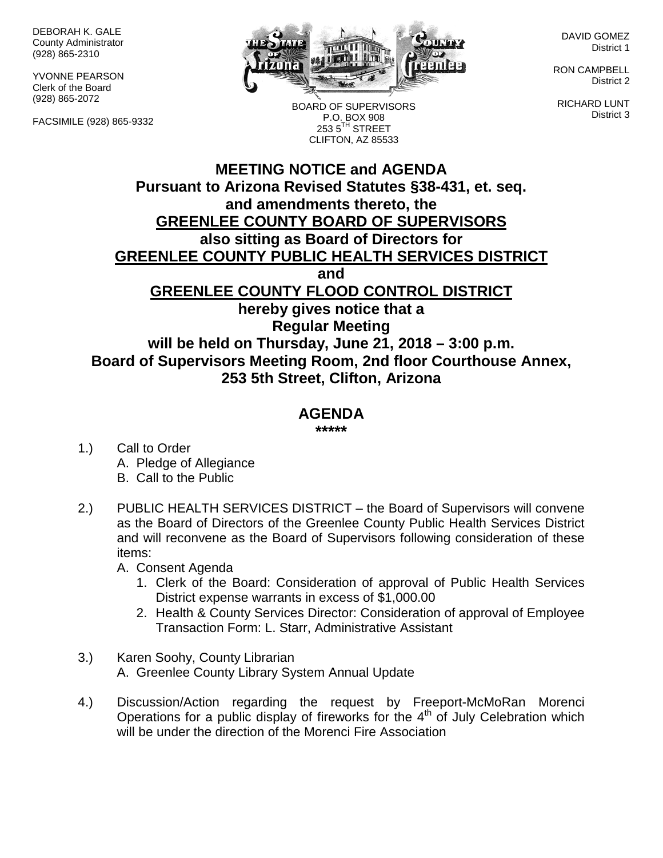DEBORAH K. GALE County Administrator (928) 865-2310

YVONNE PEARSON Clerk of the Board (928) 865-2072

FACSIMILE (928) 865-9332



BOARD OF SUPERVISORS P.O. BOX 908  $2535^{\text{TH}}$  STREET

DAVID GOMEZ District 1

RON CAMPBELL District 2

RICHARD LUNT District 3

## **MEETING NOTICE and AGENDA Pursuant to Arizona Revised Statutes §38-431, et. seq. and amendments thereto, the GREENLEE COUNTY BOARD OF SUPERVISORS also sitting as Board of Directors for GREENLEE COUNTY PUBLIC HEALTH SERVICES DISTRICT and GREENLEE COUNTY FLOOD CONTROL DISTRICT hereby gives notice that a Regular Meeting will be held on Thursday, June 21, 2018 – 3:00 p.m. Board of Supervisors Meeting Room, 2nd floor Courthouse Annex, 253 5th Street, Clifton, Arizona** CLIFTON, AZ 85533

## **AGENDA**

**\*\*\*\*\***

- 1.) Call to Order A. Pledge of Allegiance B. Call to the Public
- 2.) PUBLIC HEALTH SERVICES DISTRICT the Board of Supervisors will convene as the Board of Directors of the Greenlee County Public Health Services District and will reconvene as the Board of Supervisors following consideration of these items:

A. Consent Agenda

- 1. Clerk of the Board: Consideration of approval of Public Health Services District expense warrants in excess of \$1,000.00
- 2. Health & County Services Director: Consideration of approval of Employee Transaction Form: L. Starr, Administrative Assistant
- 3.) Karen Soohy, County Librarian A. Greenlee County Library System Annual Update
- 4.) Discussion/Action regarding the request by Freeport-McMoRan Morenci Operations for a public display of fireworks for the  $4<sup>th</sup>$  of July Celebration which will be under the direction of the Morenci Fire Association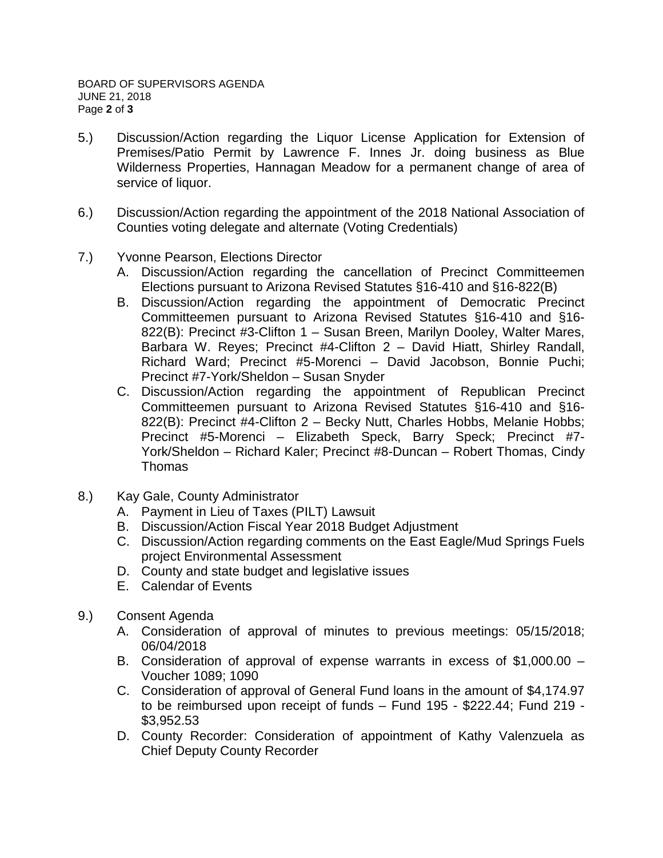- 5.) Discussion/Action regarding the Liquor License Application for Extension of Premises/Patio Permit by Lawrence F. Innes Jr. doing business as Blue Wilderness Properties, Hannagan Meadow for a permanent change of area of service of liquor.
- 6.) Discussion/Action regarding the appointment of the 2018 National Association of Counties voting delegate and alternate (Voting Credentials)
- 7.) Yvonne Pearson, Elections Director
	- A. Discussion/Action regarding the cancellation of Precinct Committeemen Elections pursuant to Arizona Revised Statutes §16-410 and §16-822(B)
	- B. Discussion/Action regarding the appointment of Democratic Precinct Committeemen pursuant to Arizona Revised Statutes §16-410 and §16- 822(B): Precinct #3-Clifton 1 – Susan Breen, Marilyn Dooley, Walter Mares, Barbara W. Reyes; Precinct #4-Clifton 2 – David Hiatt, Shirley Randall, Richard Ward; Precinct #5-Morenci – David Jacobson, Bonnie Puchi; Precinct #7-York/Sheldon – Susan Snyder
	- C. Discussion/Action regarding the appointment of Republican Precinct Committeemen pursuant to Arizona Revised Statutes §16-410 and §16- 822(B): Precinct #4-Clifton 2 – Becky Nutt, Charles Hobbs, Melanie Hobbs; Precinct #5-Morenci – Elizabeth Speck, Barry Speck; Precinct #7- York/Sheldon – Richard Kaler; Precinct #8-Duncan – Robert Thomas, Cindy Thomas
- 8.) Kay Gale, County Administrator
	- A. Payment in Lieu of Taxes (PILT) Lawsuit
	- B. Discussion/Action Fiscal Year 2018 Budget Adjustment
	- C. Discussion/Action regarding comments on the East Eagle/Mud Springs Fuels project Environmental Assessment
	- D. County and state budget and legislative issues
	- E. Calendar of Events
- 9.) Consent Agenda
	- A. Consideration of approval of minutes to previous meetings: 05/15/2018; 06/04/2018
	- B. Consideration of approval of expense warrants in excess of \$1,000.00 Voucher 1089; 1090
	- C. Consideration of approval of General Fund loans in the amount of \$4,174.97 to be reimbursed upon receipt of funds – Fund 195 - \$222.44; Fund 219 - \$3,952.53
	- D. County Recorder: Consideration of appointment of Kathy Valenzuela as Chief Deputy County Recorder